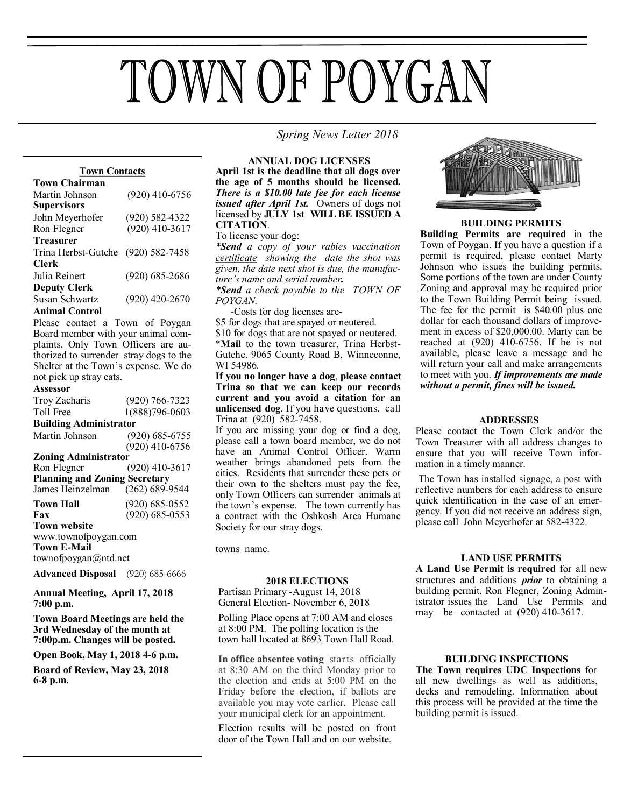# TOWN OF POYGAN

 *Spring News Letter 2018*

# **Town Contacts**

| <b>Town Chairman</b> |                    |
|----------------------|--------------------|
| Martin Johnson       | $(920)$ 410-6756   |
| <b>Supervisors</b>   |                    |
| John Meyerhofer      | $(920) 582 - 4322$ |
| Ron Flegner          | $(920)$ 410-3617   |
| <b>Treasurer</b>     |                    |
| Trina Herbst-Gutche  | $(920) 582 - 7458$ |
| Clerk                |                    |
| Julia Reinert        | $(920) 685 - 2686$ |
| <b>Deputy Clerk</b>  |                    |
| Susan Schwartz       | $(920)$ 420-2670   |
| Animal Control       |                    |

Please contact a Town of Poygan Board member with your animal complaints. Only Town Officers are authorized to surrender stray dogs to the Shelter at the Town's expense. We do not pick up stray cats.

# **Assessor**

| Troy Zacharis                           | $(920) 766 - 7323$ |  |
|-----------------------------------------|--------------------|--|
| Toll Free                               | 1(888)796-0603     |  |
| <b>Building Administrator</b>           |                    |  |
| Martin Johnson                          | $(920)$ 685-6755   |  |
|                                         | $(920)$ 410-6756   |  |
| <b>Zoning Administrator</b>             |                    |  |
| Ron Flegner                             | $(920)$ 410-3617   |  |
| <b>Planning and Zoning Secretary</b>    |                    |  |
| James Heinzelman                        | $(262) 689 - 9544$ |  |
| <b>Town Hall</b>                        | $(920)$ 685-0552   |  |
| Fax                                     | $(920) 685 - 0553$ |  |
| <b>Town website</b>                     |                    |  |
| www.townofpoygan.com                    |                    |  |
| <b>Town E-Mail</b>                      |                    |  |
| townofpoygan $(a)$ ntd.net              |                    |  |
| <b>Advanced Disposal</b> (920) 685-6666 |                    |  |
|                                         |                    |  |

**Annual Meeting, April 17, 2018 7:00 p.m.** 

**Town Board Meetings are held the 3rd Wednesday of the month at 7:00p.m. Changes will be posted.**

**Open Book, May 1, 2018 4-6 p.m.**

**Board of Review, May 23, 2018 6-8 p.m.**

**ANNUAL DOG LICENSES April 1st is the deadline that all dogs over the age of 5 months should be licensed.**  *There is a \$10.00 late fee for each license issued after April 1st.* Owners of dogs not licensed by **JULY 1st WILL BE ISSUED A CITATION**.

To license your dog:

*\*Send a copy of your rabies vaccination certificate showing the date the shot was given, the date next shot is due, the manufacture's name and serial number.*

*\*Send a check payable to the TOWN OF POYGAN.*

 *-*Costs for dog licenses are-

\$5 for dogs that are spayed or neutered.

\$10 for dogs that are not spayed or neutered. \***Mail** to the town treasurer, Trina Herbst-Gutche. 9065 County Road B, Winneconne, WI 54986.

**If you no longer have a dog**, **please contact Trina so that we can keep our records current and you avoid a citation for an unlicensed dog**. If you have questions, call Trina at (920) 582-7458.

If you are missing your dog or find a dog, please call a town board member, we do not have an Animal Control Officer. Warm weather brings abandoned pets from the cities. Residents that surrender these pets or their own to the shelters must pay the fee, only Town Officers can surrender animals at the town's expense. The town currently has a contract with the Oshkosh Area Humane Society for our stray dogs.

towns name.

# **2018 ELECTIONS**

Partisan Primary -August 14, 2018 General Election- November 6, 2018

Polling Place opens at 7:00 AM and closes at 8:00 PM. The polling location is the town hall located at 8693 Town Hall Road.

**In office absentee voting** starts officially at 8:30 AM on the third Monday prior to the election and ends at 5:00 PM on the Friday before the election, if ballots are available you may vote earlier. Please call your municipal clerk for an appointment.

Election results will be posted on front door of the Town Hall and on our website.



# **BUILDING PERMITS**

**Building Permits are required** in the Town of Poygan. If you have a question if a permit is required, please contact Marty Johnson who issues the building permits. Some portions of the town are under County Zoning and approval may be required prior to the Town Building Permit being issued. The fee for the permit is \$40.00 plus one dollar for each thousand dollars of improvement in excess of \$20,000.00. Marty can be reached at (920) 410-6756. If he is not available, please leave a message and he will return your call and make arrangements to meet with you. *If improvements are made without a permit, fines will be issued.*

# **ADDRESSES**

Please contact the Town Clerk and/or the Town Treasurer with all address changes to ensure that you will receive Town information in a timely manner.

The Town has installed signage, a post with reflective numbers for each address to ensure quick identification in the case of an emergency. If you did not receive an address sign, please call John Meyerhofer at 582-4322.

# **LAND USE PERMITS**

**A Land Use Permit is required** for all new structures and additions *prior* to obtaining a building permit. Ron Flegner, Zoning Administrator issues the Land Use Permits and may be contacted at (920) 410-3617.

### **BUILDING INSPECTIONS**

**The Town requires UDC Inspections** for all new dwellings as well as additions, decks and remodeling. Information about this process will be provided at the time the building permit is issued.